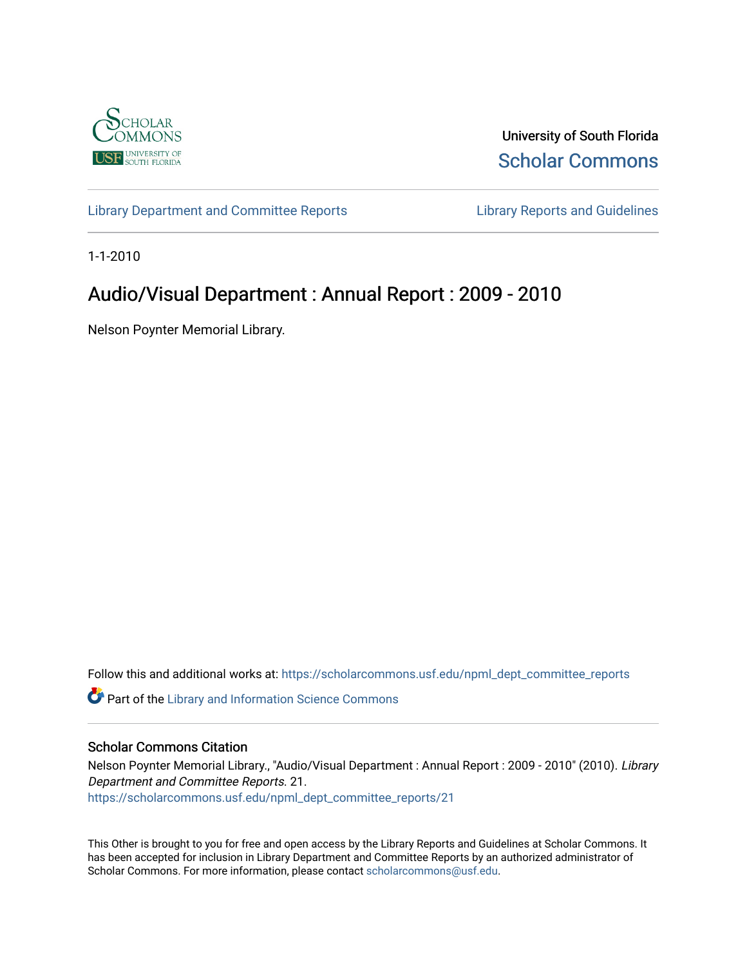

University of South Florida [Scholar Commons](https://scholarcommons.usf.edu/) 

[Library Department and Committee Reports](https://scholarcommons.usf.edu/npml_dept_committee_reports) [Library Reports and Guidelines](https://scholarcommons.usf.edu/npml_reports_guidelines_instruct_materials) 

1-1-2010

# Audio/Visual Department : Annual Report : 2009 - 2010

Nelson Poynter Memorial Library.

Follow this and additional works at: [https://scholarcommons.usf.edu/npml\\_dept\\_committee\\_reports](https://scholarcommons.usf.edu/npml_dept_committee_reports?utm_source=scholarcommons.usf.edu%2Fnpml_dept_committee_reports%2F21&utm_medium=PDF&utm_campaign=PDFCoverPages)

Part of the [Library and Information Science Commons](http://network.bepress.com/hgg/discipline/1018?utm_source=scholarcommons.usf.edu%2Fnpml_dept_committee_reports%2F21&utm_medium=PDF&utm_campaign=PDFCoverPages) 

#### Scholar Commons Citation

Nelson Poynter Memorial Library., "Audio/Visual Department : Annual Report : 2009 - 2010" (2010). Library Department and Committee Reports. 21. [https://scholarcommons.usf.edu/npml\\_dept\\_committee\\_reports/21](https://scholarcommons.usf.edu/npml_dept_committee_reports/21?utm_source=scholarcommons.usf.edu%2Fnpml_dept_committee_reports%2F21&utm_medium=PDF&utm_campaign=PDFCoverPages) 

This Other is brought to you for free and open access by the Library Reports and Guidelines at Scholar Commons. It has been accepted for inclusion in Library Department and Committee Reports by an authorized administrator of Scholar Commons. For more information, please contact [scholarcommons@usf.edu](mailto:scholarcommons@usf.edu).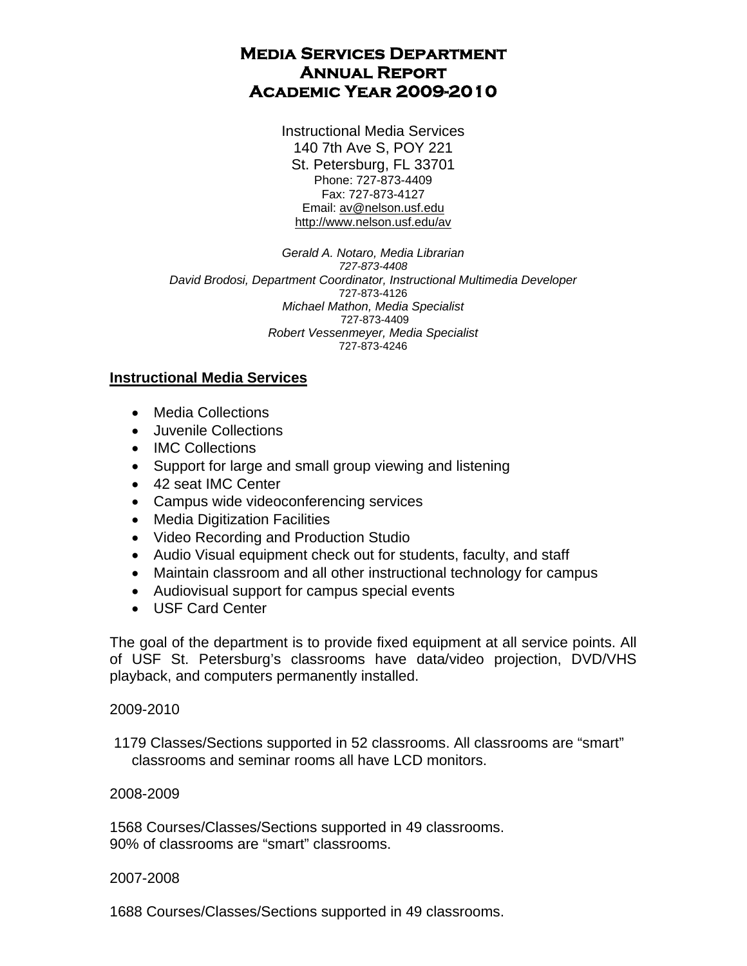## **Media Services Department Annual Report Academic Year 2009-2010**

Instructional Media Services 140 7th Ave S, POY 221 St. Petersburg, FL 33701 Phone: 727-873-4409 Fax: 727-873-4127 Email: av@nelson.usf.edu http://www.nelson.usf.edu/av

*Gerald A. Notaro, Media Librarian 727-873-4408 David Brodosi, Department Coordinator, Instructional Multimedia Developer*  727-873-4126 *Michael Mathon, Media Specialist*  727-873-4409 *Robert Vessenmeyer, Media Specialist*  727-873-4246

## **Instructional Media Services**

- Media Collections
- Juvenile Collections
- IMC Collections
- Support for large and small group viewing and listening
- 42 seat IMC Center
- Campus wide videoconferencing services
- Media Digitization Facilities
- Video Recording and Production Studio
- Audio Visual equipment check out for students, faculty, and staff
- Maintain classroom and all other instructional technology for campus
- Audiovisual support for campus special events
- USF Card Center

The goal of the department is to provide fixed equipment at all service points. All of USF St. Petersburg's classrooms have data/video projection, DVD/VHS playback, and computers permanently installed.

#### 2009-2010

 1179 Classes/Sections supported in 52 classrooms. All classrooms are "smart" classrooms and seminar rooms all have LCD monitors.

### 2008-2009

1568 Courses/Classes/Sections supported in 49 classrooms. 90% of classrooms are "smart" classrooms.

### 2007-2008

1688 Courses/Classes/Sections supported in 49 classrooms.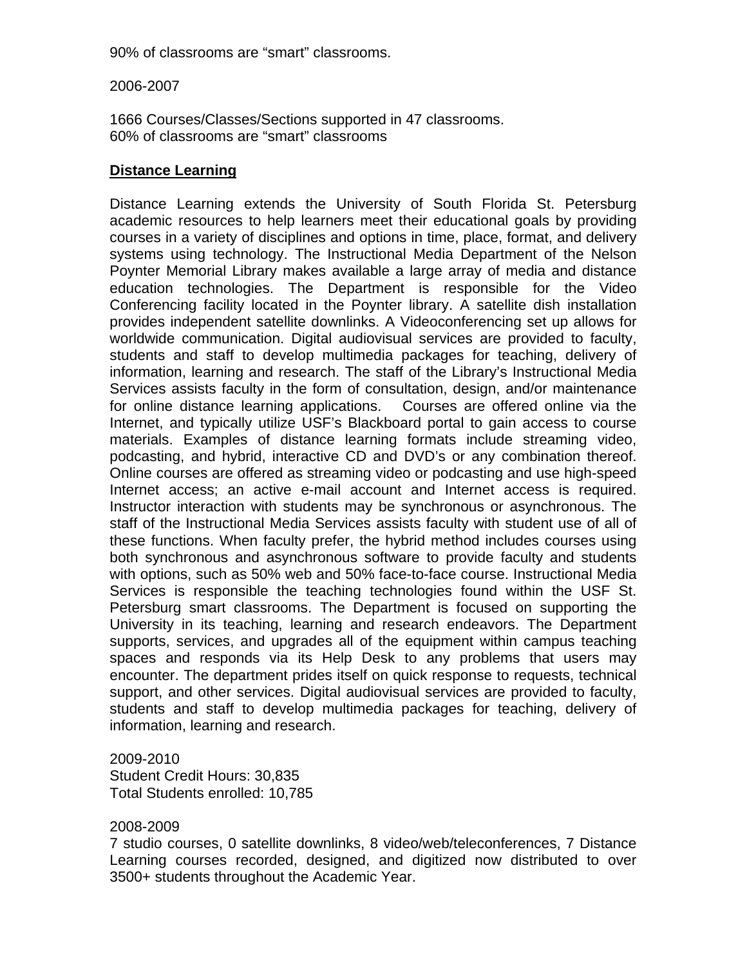90% of classrooms are "smart" classrooms.

2006-2007

1666 Courses/Classes/Sections supported in 47 classrooms. 60% of classrooms are "smart" classrooms

## **Distance Learning**

Distance Learning extends the University of South Florida St. Petersburg academic resources to help learners meet their educational goals by providing courses in a variety of disciplines and options in time, place, format, and delivery systems using technology. The Instructional Media Department of the Nelson Poynter Memorial Library makes available a large array of media and distance education technologies. The Department is responsible for the Video Conferencing facility located in the Poynter library. A satellite dish installation provides independent satellite downlinks. A Videoconferencing set up allows for worldwide communication. Digital audiovisual services are provided to faculty, students and staff to develop multimedia packages for teaching, delivery of information, learning and research. The staff of the Library's Instructional Media Services assists faculty in the form of consultation, design, and/or maintenance for online distance learning applications. Courses are offered online via the Internet, and typically utilize USF's Blackboard portal to gain access to course materials. Examples of distance learning formats include streaming video, podcasting, and hybrid, interactive CD and DVD's or any combination thereof. Online courses are offered as streaming video or podcasting and use high-speed Internet access; an active e-mail account and Internet access is required. Instructor interaction with students may be synchronous or asynchronous. The staff of the Instructional Media Services assists faculty with student use of all of these functions. When faculty prefer, the hybrid method includes courses using both synchronous and asynchronous software to provide faculty and students with options, such as 50% web and 50% face-to-face course. Instructional Media Services is responsible the teaching technologies found within the USF St. Petersburg smart classrooms. The Department is focused on supporting the University in its teaching, learning and research endeavors. The Department supports, services, and upgrades all of the equipment within campus teaching spaces and responds via its Help Desk to any problems that users may encounter. The department prides itself on quick response to requests, technical support, and other services. Digital audiovisual services are provided to faculty, students and staff to develop multimedia packages for teaching, delivery of information, learning and research.

2009-2010 Student Credit Hours: 30,835 Total Students enrolled: 10,785

### 2008-2009

7 studio courses, 0 satellite downlinks, 8 video/web/teleconferences, 7 Distance Learning courses recorded, designed, and digitized now distributed to over 3500+ students throughout the Academic Year.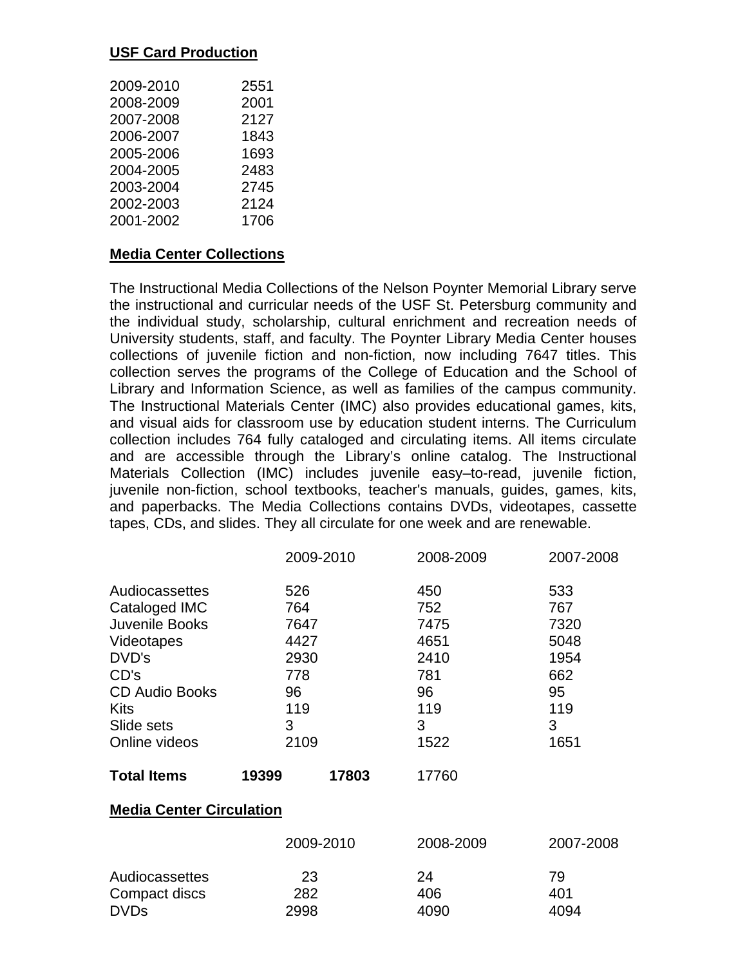## **USF Card Production**

| 2009-2010 | 2551 |
|-----------|------|
| 2008-2009 | 2001 |
| 2007-2008 | 2127 |
| 2006-2007 | 1843 |
| 2005-2006 | 1693 |
| 2004-2005 | 2483 |
| 2003-2004 | 2745 |
| 2002-2003 | 2124 |
| 2001-2002 | 1706 |

### **Media Center Collections**

The Instructional Media Collections of the Nelson Poynter Memorial Library serve the instructional and curricular needs of the USF St. Petersburg community and the individual study, scholarship, cultural enrichment and recreation needs of University students, staff, and faculty. The Poynter Library Media Center houses collections of juvenile fiction and non-fiction, now including 7647 titles. This collection serves the programs of the College of Education and the School of Library and Information Science, as well as families of the campus community. The Instructional Materials Center (IMC) also provides educational games, kits, and visual aids for classroom use by education student interns. The Curriculum collection includes 764 fully cataloged and circulating items. All items circulate and are accessible through the Library's online catalog. The Instructional Materials Collection (IMC) includes juvenile easy–to-read, juvenile fiction, juvenile non-fiction, school textbooks, teacher's manuals, guides, games, kits, and paperbacks. The Media Collections contains DVDs, videotapes, cassette tapes, CDs, and slides. They all circulate for one week and are renewable.

|                       | 2009-2010      | 2008-2009 | 2007-2008 |
|-----------------------|----------------|-----------|-----------|
| Audiocassettes        | 526            | 450       | 533       |
| Cataloged IMC         | 764            | 752       | 767       |
| Juvenile Books        | 7647           | 7475      | 7320      |
| Videotapes            | 4427           | 4651      | 5048      |
| DVD's                 | 2930           | 2410      | 1954      |
| CD's                  | 778            | 781       | 662       |
| <b>CD Audio Books</b> | 96             | 96        | 95        |
| Kits                  | 119            | 119       | 119       |
| Slide sets            | 3              | 3         | 3         |
| Online videos         | 2109           | 1522      | 1651      |
| <b>Total Items</b>    | 17803<br>19399 | 17760     |           |

### **Media Center Circulation**

|                | 2009-2010 | 2008-2009 | 2007-2008 |
|----------------|-----------|-----------|-----------|
| Audiocassettes | 23        | 24        | 79        |
| Compact discs  | 282       | 406       | 401       |
| <b>DVDs</b>    | 2998      | 4090      | 4094      |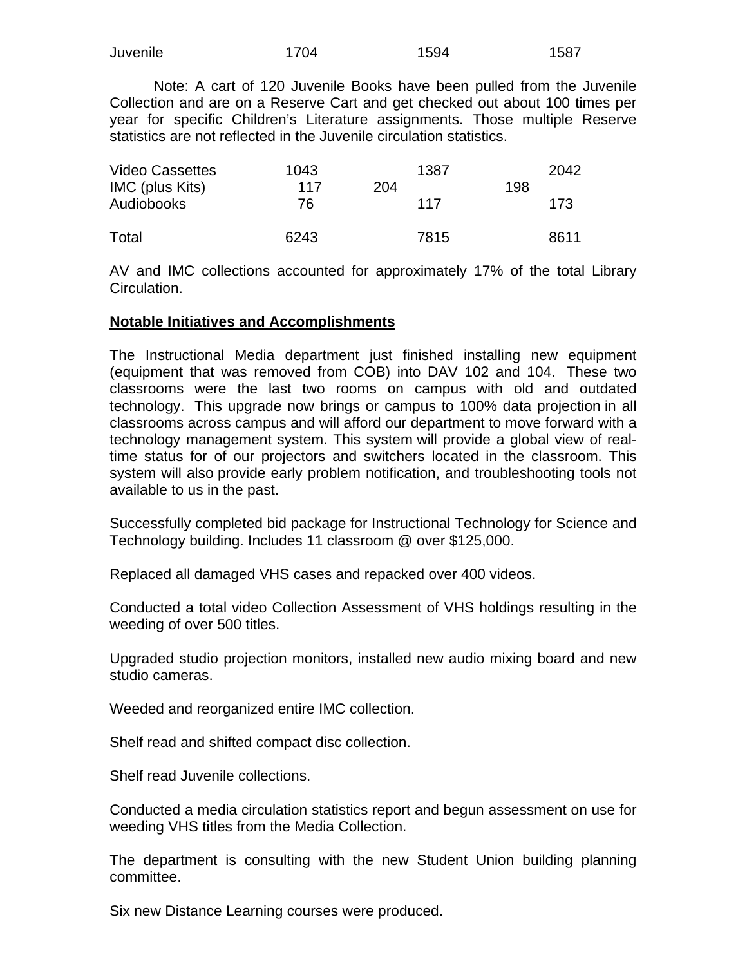| Juvenile | 1704 | 1594 | 1587 |
|----------|------|------|------|
|          |      |      |      |

 Note: A cart of 120 Juvenile Books have been pulled from the Juvenile Collection and are on a Reserve Cart and get checked out about 100 times per year for specific Children's Literature assignments. Those multiple Reserve statistics are not reflected in the Juvenile circulation statistics.

| <b>Video Cassettes</b><br>IMC (plus Kits) | 1043<br>117 | 1387<br>204 | 198 | 2042 |
|-------------------------------------------|-------------|-------------|-----|------|
| Audiobooks                                | 76          | 117         |     | 173  |
| Total                                     | 6243        | 7815        |     | 8611 |

AV and IMC collections accounted for approximately 17% of the total Library Circulation.

#### **Notable Initiatives and Accomplishments**

The Instructional Media department just finished installing new equipment (equipment that was removed from COB) into DAV 102 and 104. These two classrooms were the last two rooms on campus with old and outdated technology. This upgrade now brings or campus to 100% data projection in all classrooms across campus and will afford our department to move forward with a technology management system. This system will provide a global view of realtime status for of our projectors and switchers located in the classroom. This system will also provide early problem notification, and troubleshooting tools not available to us in the past.

Successfully completed bid package for Instructional Technology for Science and Technology building. Includes 11 classroom @ over \$125,000.

Replaced all damaged VHS cases and repacked over 400 videos.

Conducted a total video Collection Assessment of VHS holdings resulting in the weeding of over 500 titles.

Upgraded studio projection monitors, installed new audio mixing board and new studio cameras.

Weeded and reorganized entire IMC collection.

Shelf read and shifted compact disc collection.

Shelf read Juvenile collections.

Conducted a media circulation statistics report and begun assessment on use for weeding VHS titles from the Media Collection.

The department is consulting with the new Student Union building planning committee.

Six new Distance Learning courses were produced.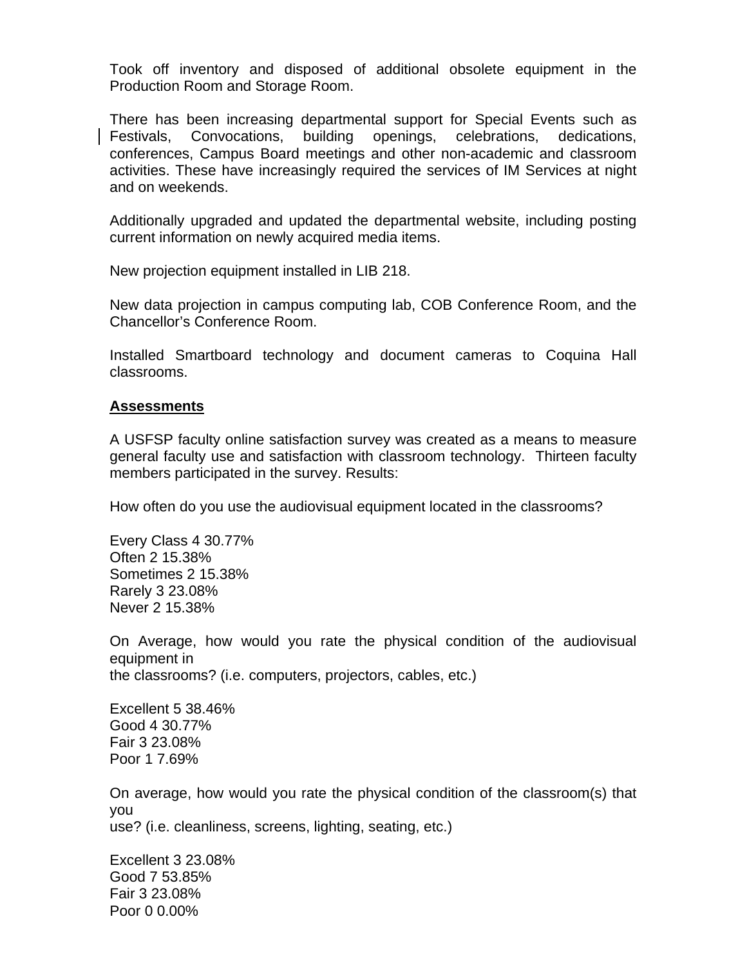Took off inventory and disposed of additional obsolete equipment in the Production Room and Storage Room.

There has been increasing departmental support for Special Events such as Festivals, Convocations, building openings, celebrations, dedications, conferences, Campus Board meetings and other non-academic and classroom activities. These have increasingly required the services of IM Services at night and on weekends.

Additionally upgraded and updated the departmental website, including posting current information on newly acquired media items.

New projection equipment installed in LIB 218.

New data projection in campus computing lab, COB Conference Room, and the Chancellor's Conference Room.

Installed Smartboard technology and document cameras to Coquina Hall classrooms.

#### **Assessments**

A USFSP faculty online satisfaction survey was created as a means to measure general faculty use and satisfaction with classroom technology. Thirteen faculty members participated in the survey. Results:

How often do you use the audiovisual equipment located in the classrooms?

Every Class 4 30.77% Often 2 15.38% Sometimes 2 15.38% Rarely 3 23.08% Never 2 15.38%

On Average, how would you rate the physical condition of the audiovisual equipment in the classrooms? (i.e. computers, projectors, cables, etc.)

Excellent 5 38.46% Good 4 30.77% Fair 3 23.08% Poor 1 7.69%

On average, how would you rate the physical condition of the classroom(s) that you use? (i.e. cleanliness, screens, lighting, seating, etc.)

Excellent 3 23.08% Good 7 53.85% Fair 3 23.08% Poor 0 0.00%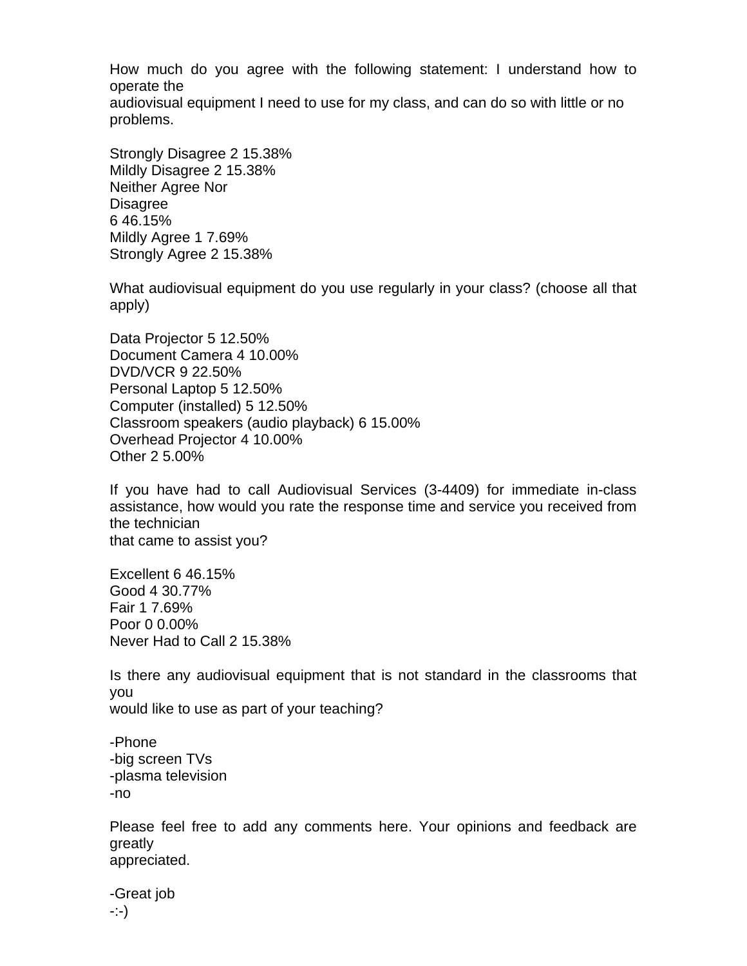How much do you agree with the following statement: I understand how to operate the audiovisual equipment I need to use for my class, and can do so with little or no problems.

Strongly Disagree 2 15.38% Mildly Disagree 2 15.38% Neither Agree Nor Disagree 6 46.15% Mildly Agree 1 7.69% Strongly Agree 2 15.38%

What audiovisual equipment do you use regularly in your class? (choose all that apply)

Data Projector 5 12.50% Document Camera 4 10.00% DVD/VCR 9 22.50% Personal Laptop 5 12.50% Computer (installed) 5 12.50% Classroom speakers (audio playback) 6 15.00% Overhead Projector 4 10.00% Other 2 5.00%

If you have had to call Audiovisual Services (3-4409) for immediate in-class assistance, how would you rate the response time and service you received from the technician that came to assist you?

Excellent 6 46.15% Good 4 30.77% Fair 1 7.69% Poor 0 0.00% Never Had to Call 2 15.38%

Is there any audiovisual equipment that is not standard in the classrooms that you would like to use as part of your teaching?

-Phone -big screen TVs -plasma television -no

Please feel free to add any comments here. Your opinions and feedback are greatly appreciated.

-Great job -:-)